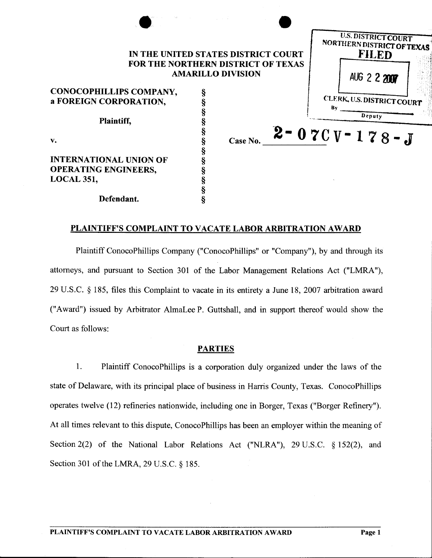| IN THE UNITED STATES DISTRICT COURT                                   |  |          |              | <b>U.S. DISTRICT COURT</b><br>NORTHERN DISTRICT OF TEXAS<br><b>FILED</b> |
|-----------------------------------------------------------------------|--|----------|--------------|--------------------------------------------------------------------------|
| <b>FOR THE NORTHERN DISTRICT OF TEXAS</b><br><b>AMARILLO DIVISION</b> |  |          | AUG 2 2 2007 |                                                                          |
| CONOCOPHILLIPS COMPANY,                                               |  |          |              |                                                                          |
| a FOREIGN CORPORATION,                                                |  |          |              | CLERK, U.S. DISTRICT COURT                                               |
| Plaintiff,                                                            |  |          |              | Bv.<br>Deputy                                                            |
| v.                                                                    |  | Case No. |              | $2 - 070V - 178 - J$                                                     |
| <b>INTERNATIONAL UNION OF</b>                                         |  |          |              |                                                                          |
| <b>OPERATING ENGINEERS,</b>                                           |  |          |              |                                                                          |
| <b>LOCAL 351,</b>                                                     |  |          |              |                                                                          |
|                                                                       |  |          |              |                                                                          |
| Defendant.                                                            |  |          |              |                                                                          |

# PLAINTIFF'S COMPLAINT TO VACATE LABOR ARBITRATION AWARD

Plaintiff ConocoPhillips Company ("ConocoPhillips" or "Company"), by and through its attorneys, and pursuant to Section 301 of the Labor Management Relations Act ("LMRA"), 29 U.S.C. § 185, files this Complaint to vacate in its entirety a June 18, 2007 arbitration award ("Award") issued by Arbitrator AlmaLee P. Guttshall, and in support thereof would show the Court as follows:

## PARTIES

1. Plaintiff ConocoPhillips is a corporation duly organized under the laws of the state of Delaware, with its principal place of business in Harris County, Texas. ConocoPhillips operates twelve (12) refineries nationwide, including one in Borger, Texas ("Borger Refinery"). At all times relevant to this dispute, ConocoPhillips has been an employer within the meaning of Section 2(2) of the National Labor Relations Act ("NLRA"), 29 U.S.C. § 152(2), and Section 301 of the LMRA, 29 U.S.C. § 185.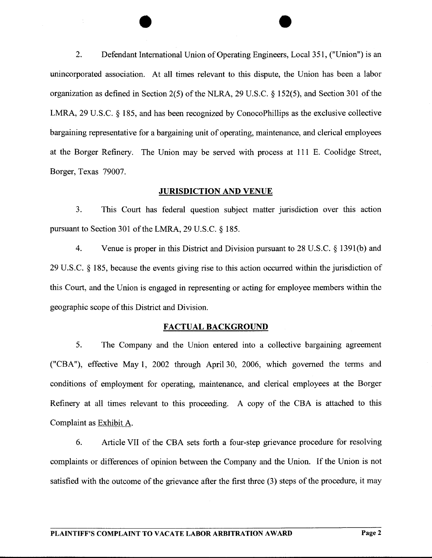2. Defendant International Union of Operating Engineers, Local 351, ("Union") is an unincorporated association. At all times relevant to this dispute, the Union has been a labor organization as defined in Section 2(5) of the NLRA, 29 U.S.C. § 152(5), and Section 301 of the LMRA, 29 U.S.C. § 185, and has been recognized by ConocoPhillips as the exclusive collective bargaining representative for a bargaining unit of operating, maintenance, and clerical employees at the Borger Refinery. The Union may be served with process at 111 E. Coolidge Street, Borger, Texas 79007.

## **JURISDICTION** AND VENUE

3. This Court has federal question subject matter jurisdiction over this action pursuant to Section 301 of the LMRA, 29 U.S.C. § 185.

4. Venue is proper in this District and Division pursuant to 28 U.S.C. § 1391(b) and 29 U.S.C. § 185, because the events giving rise to this action occurred within the jurisdiction of this Court, and the Union is engaged in representing or acting for employee members within the geographic scope of this District and Division.

#### FACTUAL BACKGROUND

5. The Company and the Union entered into a collective bargaining agreement ("CBA"), effective May 1, 2002 through April 30, 2006, which governed the terms and conditions of employment for operating, maintenance, and clerical employees at the Borger Refinery at all times relevant to this proceeding. A copy of the CBA is attached to this Complaint as Exhibit A.

6. Article VII of the CBA sets forth a four-step grievance procedure for resolving complaints or differences of opinion between the Company and the Union. If the Union is not satisfied with the outcome of the grievance after the first three (3) steps of the procedure, it may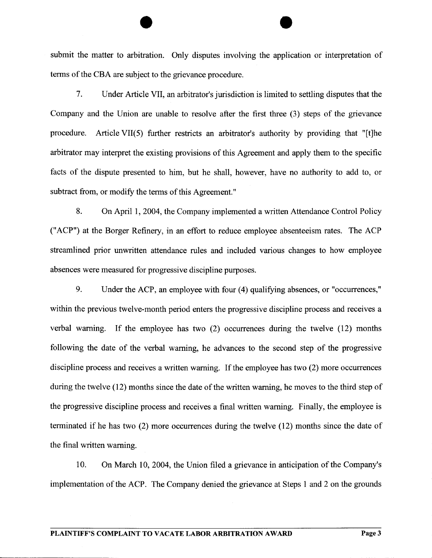submit the matter to arbitration. Only disputes involving the application or interpretation of terms of the CBA are subject to the grievance procedure.

7. Under Article VII, an arbitrator's jurisdiction is limited to settling disputes that the Company and the Union are unable to resolve after the first three (3) steps of the grievance procedure. Article VII(S) further restricts an arbitrator's authority by providing that "[t]he arbitrator may interpret the existing provisions of this Agreement and apply them to the specific facts of the dispute presented to him, but he shall, however, have no authority to add to, or subtract from, or modify the terms of this Agreement."

8. On April 1, 2004, the Company implemented a written Attendance Control Policy ("ACP") at the Borger Refinery, in an effort to reduce employee absenteeism rates. The ACP streamlined prior unwritten attendance rules and included various changes to how employee absences were measured for progressive discipline purposes.

9. Under the ACP, an employee with four (4) qualifying absences, or "occurrences," within the previous twelve-month period enters the progressive discipline process and receives a verbal warning. If the employee has two (2) occurrences during the twelve (12) months following the date of the verbal warning, he advances to the second step of the progressive discipline process and receives a written warning. If the employee has two (2) more occurrences during the twelve (12) months since the date of the written warning, he moves to the third step of the progressive discipline process and receives a final written warning. Finally, the employee is terminated if he has two (2) more occurrences during the twelve (12) months since the date of the final written warning.

10. On March 10, 2004, the Union filed a grievance in anticipation of the Company's implementation of the ACP. The Company denied the grievance at Steps 1 and 2 on the grounds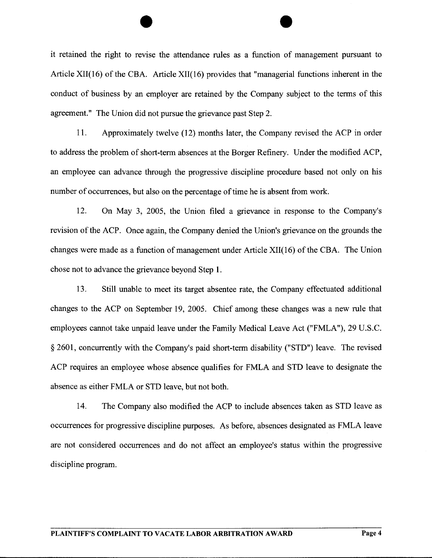it retained the right to revise the attendance rules as a function of management pursuant to Article XII(16) of the CBA. Article XII(16) provides that "managerial functions inherent in the conduct of business by an employer are retained by the Company subject to the terms of this agreement." The Union did not pursue the grievance past Step 2.

11. Approximately twelve (12) months later, the Company revised the ACP in order to address the problem of short-term absences at the Borger Refinery. Under the modified ACP, an employee can advance through the progressive discipline procedure based not only on his number of occurrences, but also on the percentage of time he is absent from work.

12. On May 3, 2005, the Union filed a grievance in response to the Company's revision of the ACP. Once again, the Company denied the Union's grievance on the grounds the changes were made as a function of management under Article XII(16) of the CBA. The Union chose not to advance the grievance beyond Step 1.

13. Still unable to meet its target absentee rate, the Company effectuated additional changes to the ACP on September 19, 2005. Chief among these changes was a new rule that employees cannot take unpaid leave under the Family Medical Leave Act ("FMLA"), 29 U.S.C. § 2601, concurrently with the Company's paid short-term disability ("STD") leave. The revised ACP requires an employee whose absence qualifies for FMLA and STD leave to designate the absence as either FMLA or STD leave, but not both.

14. The Company also modified the ACP to include absences taken as STD leave as occurrences for progressive discipline purposes. As before, absences designated as FMLA leave are not considered occurrences and do not affect an employee's status within the progressive discipline program.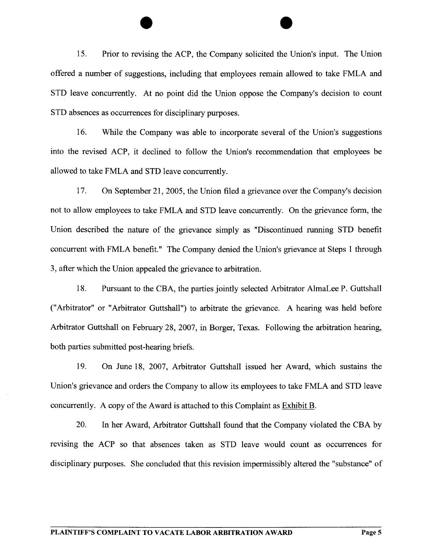15. Prior to revising the ACP, the Company solicited the Union's input. The Union offered a number of suggestions, including that employees remain allowed to take FMLA and STD leave concurrently. At no point did the Union oppose the Company's decision to count STD absences as occurrences for disciplinary purposes.

16. While the Company was able to incorporate several of the Union's suggestions into the revised ACP, it declined to follow the Union's recommendation that employees be allowed to take FMLA and STD leave concurrently.

17. On September 21,2005, the Union filed a grievance over the Company's decision not to allow employees to take FMLA and STD leave concurrently. On the grievance form, the Union described the nature of the grievance simply as "Discontinued running STD benefit concurrent with FMLA benefit." The Company denied the Union's grievance at Steps 1 through 3, after which the Union appealed the grievance to arbitration.

18. Pursuant to the CBA, the parties jointly selected Arbitrator AlmaLee P. Guttshall ("Arbitrator" or "Arbitrator Guttshall") to arbitrate the grievance. A hearing was held before Arbitrator Guttshall on February 28, 2007, in Borger, Texas. Following the arbitration hearing, both parties submitted post-hearing briefs.

19. On June 18, 2007, Arbitrator Guttshall issued her Award, which sustains the Union's grievance and orders the Company to allow its employees to take FMLA and STD leave concurrently. A copy of the Award is attached to this Complaint as Exhibit B.

20. In her Award, Arbitrator Guttshall found that the Company violated the CBA by revising the ACP so that absences taken as STD leave would count as occurrences for disciplinary purposes. She concluded that this revision impermissibly altered the "substance" of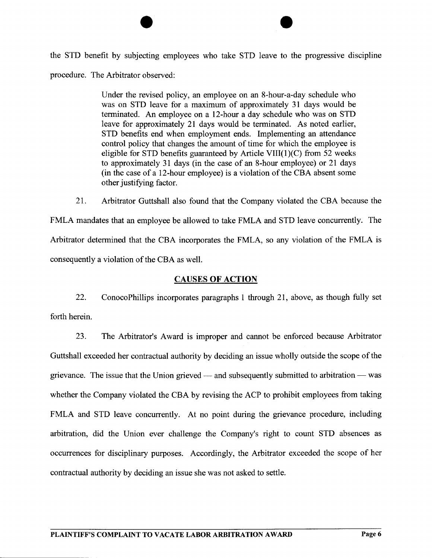the STD benefit by subjecting employees who take STD leave to the progressive discipline procedure. The Arbitrator observed:

> Under the revised policy, an employee on an 8-hour-a-day schedule who was on STD leave for a maximum of approximately 31 days would be terminated. An employee on a 12-hour a day schedule who was on STD leave for approximately 21 days would be terminated. As noted earlier, STD benefits end when employment ends. Implementing an attendance control policy that changes the amount of time for which the employee is eligible for STD benefits guaranteed by Article VIII $(1)(C)$  from 52 weeks to approximately 31 days (in the case of an 8-hour employee) or 21 days (in the case of a 12-hour employee) is a violation of the CBA absent some other justifying factor.

21. Arbitrator Guttshall also found that the Company violated the CBA because the FMLA mandates that an employee be allowed to take FMLA and STD leave concurrently. The Arbitrator determined that the CBA incorporates the FMLA, so any violation of the FMLA is consequently a violation of the CBA as well.

# CAUSES **OF** ACTION

22. ConocoPhillips incorporates paragraphs 1 through 21, above, as though fully set forth herein.

23. The Arbitrator's Award is improper and cannot be enforced because Arbitrator Guttshall exceeded her contractual authority by deciding an issue wholly outside the scope of the grievance. The issue that the Union grieved — and subsequently submitted to arbitration — was whether the Company violated the CBA by revising the ACP to prohibit employees from taking FMLA and STD leave concurrently. At no point during the grievance procedure, including arbitration, did the Union ever challenge the Company's right to count STD absences as occurrences for disciplinary purposes. Accordingly, the Arbitrator exceeded the scope of her contractual authority by deciding an issue she was not asked to settle.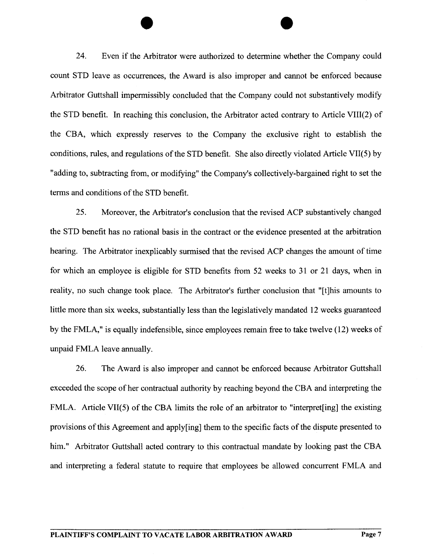24. Even if the Arbitrator were authorized to detennine whether the Company could count STD leave as occurrences, the Award is also improper and cannot be enforced because Arbitrator Guttshall impermissibly concluded that the Company could not substantively modify the STD benefit. In reaching this conclusion, the Arbitrator acted contrary to Article VIIl(2) of the CBA, which expressly reserves to the Company the exclusive right to establish the conditions, rules, and regulations of the STD benefit. She also directly violated Article VIl(5) by "adding to, subtracting from, or modifying" the Company's collectively-bargained right to set the terms and conditions of the STD benefit.

25. Moreover, the Arbitrator's conclusion that the revised ACP substantively changed the STD benefit has no rational basis in the contract or the evidence presented at the arbitration hearing. The Arbitrator inexplicably sunnised that the revised ACP changes the amount of time for which an employee is eligible for STD benefits from 52 weeks to 31 or 21 days, when in reality, no such change took place. The Arbitrator's further conclusion that "[t]his amounts to little more than six weeks, substantially less than the legislatively mandated 12 weeks guaranteed by the FMLA," is equally indefensible, since employees remain free to take twelve (12) weeks of unpaid FMLA leave annually.

26. The Award is also improper and cannot be enforced because Arbitrator Guttshall exceeded the scope of her contractual authority by reaching beyond the CBA and interpreting the FMLA. Article VIl(5) of the CBA limits the role of an arbitrator to "interpret[ing] the existing provisions of this Agreement and apply[ing] them to the specific facts of the dispute presented to him." Arbitrator Guttshall acted contrary to this contractual mandate by looking past the CBA and interpreting a federal statute to require that employees be allowed concurrent FMLA and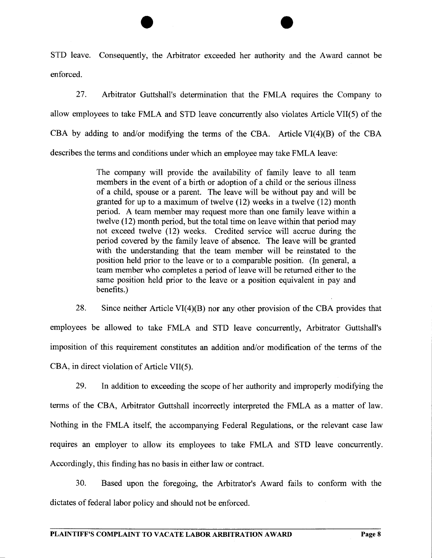STD leave. Consequently, the Arbitrator exceeded her authority and the Award cannot be enforced.

27. Arbitrator Guttshall's determination that the FMLA requires the Company to allow employees to take FMLA and STD leave concurrently also violates Article VIl(5) of the CBA by adding to and/or modifying the terms of the CBA. Article VI(4)(B) of the CBA describes the terms and conditions under which an employee may take FMLA leave:

> The company will provide the availability of family leave to all team members in the event of a birth or adoption of a child or the serious illness of a child, spouse or a parent. The leave will be without pay and will be granted for up to a maximum of twelve (12) weeks in a twelve (12) month period. A team member may request more than one family leave within a twelve (12) month period, but the total time on leave within that period may not exceed twelve (12) weeks. Credited service will accrue during the period covered by the family leave of absence. The leave will be granted with the understanding that the team member will be reinstated to the position held prior to the leave or to a comparable position. (In general, a team member who completes a period of leave will be returned either to the same position held prior to the leave or a position equivalent in pay and benefits.)

28. Since neither Article VI(4)(B) nor any other provision of the CBA provides that employees be allowed to take FMLA and STD leave concurrently, Arbitrator Guttshall's imposition of this requirement constitutes an addition and/or modification of the terms of the CBA, in direct violation of Article VII(5).

29. In addition to exceeding the scope of her authority and improperly modifying the terms of the CBA, Arbitrator Guttshall incorrectly interpreted the FMLA as a matter of law. Nothing in the FMLA itself, the accompanying Federal Regulations, or the relevant case law requires an employer to allow its employees to take FMLA and STD leave concurrently. Accordingly, this finding has no basis in either law or contract.

30. Based upon the foregoing, the Arbitrator's Award fails to conform with the dictates of federal labor policy and should not be enforced.